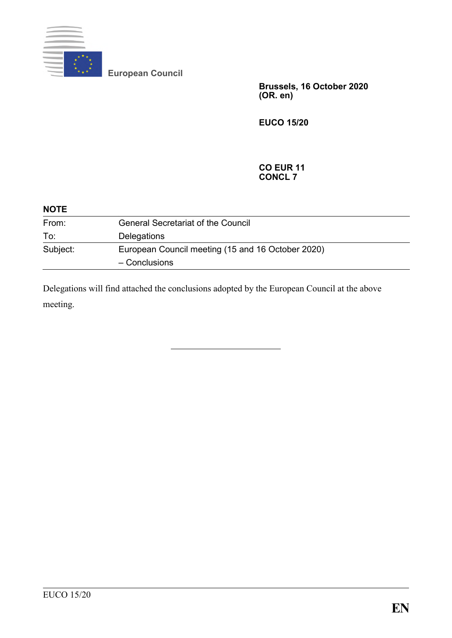

**European Council**

**Brussels, 16 October 2020 (OR. en)**

**EUCO 15/20**

#### **CO EUR 11 CONCL 7**

| <b>NOTE</b> |                                                   |  |
|-------------|---------------------------------------------------|--|
| From:       | <b>General Secretariat of the Council</b>         |  |
| To:         | Delegations                                       |  |
| Subject:    | European Council meeting (15 and 16 October 2020) |  |
|             | - Conclusions                                     |  |

Delegations will find attached the conclusions adopted by the European Council at the above meeting.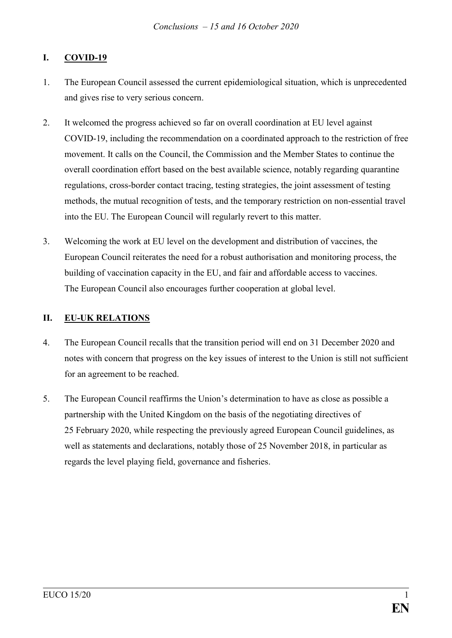# **I. COVID-19**

- 1. The European Council assessed the current epidemiological situation, which is unprecedented and gives rise to very serious concern.
- 2. It welcomed the progress achieved so far on overall coordination at EU level against COVID-19, including the recommendation on a coordinated approach to the restriction of free movement. It calls on the Council, the Commission and the Member States to continue the overall coordination effort based on the best available science, notably regarding quarantine regulations, cross-border contact tracing, testing strategies, the joint assessment of testing methods, the mutual recognition of tests, and the temporary restriction on non-essential travel into the EU. The European Council will regularly revert to this matter.
- 3. Welcoming the work at EU level on the development and distribution of vaccines, the European Council reiterates the need for a robust authorisation and monitoring process, the building of vaccination capacity in the EU, and fair and affordable access to vaccines. The European Council also encourages further cooperation at global level.

## **II. EU-UK RELATIONS**

- 4. The European Council recalls that the transition period will end on 31 December 2020 and notes with concern that progress on the key issues of interest to the Union is still not sufficient for an agreement to be reached.
- 5. The European Council reaffirms the Union's determination to have as close as possible a partnership with the United Kingdom on the basis of the negotiating directives of 25 February 2020, while respecting the previously agreed European Council guidelines, as well as statements and declarations, notably those of 25 November 2018, in particular as regards the level playing field, governance and fisheries.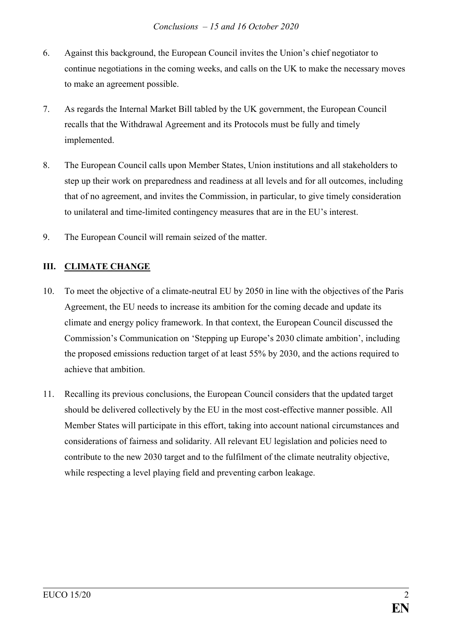- 6. Against this background, the European Council invites the Union's chief negotiator to continue negotiations in the coming weeks, and calls on the UK to make the necessary moves to make an agreement possible.
- 7. As regards the Internal Market Bill tabled by the UK government, the European Council recalls that the Withdrawal Agreement and its Protocols must be fully and timely implemented.
- 8. The European Council calls upon Member States, Union institutions and all stakeholders to step up their work on preparedness and readiness at all levels and for all outcomes, including that of no agreement, and invites the Commission, in particular, to give timely consideration to unilateral and time-limited contingency measures that are in the EU's interest.
- 9. The European Council will remain seized of the matter.

## **III. CLIMATE CHANGE**

- 10. To meet the objective of a climate-neutral EU by 2050 in line with the objectives of the Paris Agreement, the EU needs to increase its ambition for the coming decade and update its climate and energy policy framework. In that context, the European Council discussed the Commission's Communication on 'Stepping up Europe's 2030 climate ambition', including the proposed emissions reduction target of at least 55% by 2030, and the actions required to achieve that ambition.
- 11. Recalling its previous conclusions, the European Council considers that the updated target should be delivered collectively by the EU in the most cost-effective manner possible. All Member States will participate in this effort, taking into account national circumstances and considerations of fairness and solidarity. All relevant EU legislation and policies need to contribute to the new 2030 target and to the fulfilment of the climate neutrality objective, while respecting a level playing field and preventing carbon leakage.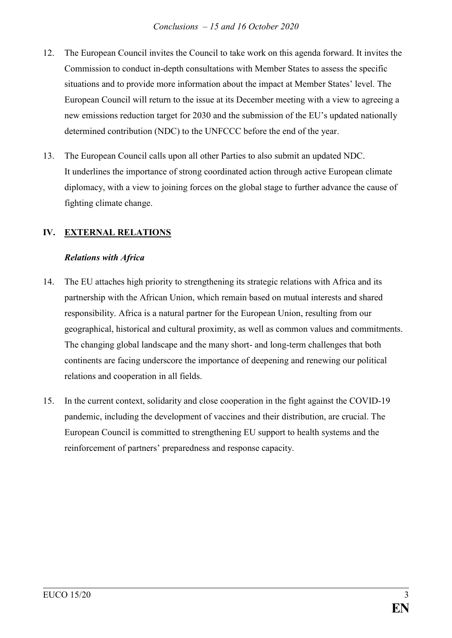- 12. The European Council invites the Council to take work on this agenda forward. It invites the Commission to conduct in-depth consultations with Member States to assess the specific situations and to provide more information about the impact at Member States' level. The European Council will return to the issue at its December meeting with a view to agreeing a new emissions reduction target for 2030 and the submission of the EU's updated nationally determined contribution (NDC) to the UNFCCC before the end of the year.
- 13. The European Council calls upon all other Parties to also submit an updated NDC. It underlines the importance of strong coordinated action through active European climate diplomacy, with a view to joining forces on the global stage to further advance the cause of fighting climate change.

# **IV. EXTERNAL RELATIONS**

#### *Relations with Africa*

- 14. The EU attaches high priority to strengthening its strategic relations with Africa and its partnership with the African Union, which remain based on mutual interests and shared responsibility. Africa is a natural partner for the European Union, resulting from our geographical, historical and cultural proximity, as well as common values and commitments. The changing global landscape and the many short- and long-term challenges that both continents are facing underscore the importance of deepening and renewing our political relations and cooperation in all fields.
- 15. In the current context, solidarity and close cooperation in the fight against the COVID-19 pandemic, including the development of vaccines and their distribution, are crucial. The European Council is committed to strengthening EU support to health systems and the reinforcement of partners' preparedness and response capacity.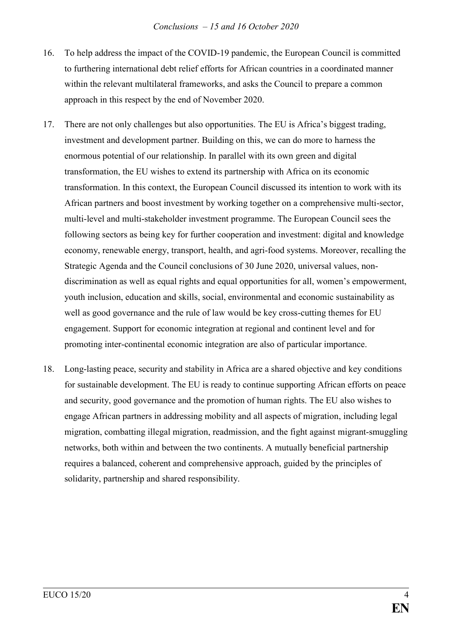- 16. To help address the impact of the COVID-19 pandemic, the European Council is committed to furthering international debt relief efforts for African countries in a coordinated manner within the relevant multilateral frameworks, and asks the Council to prepare a common approach in this respect by the end of November 2020.
- 17. There are not only challenges but also opportunities. The EU is Africa's biggest trading, investment and development partner. Building on this, we can do more to harness the enormous potential of our relationship. In parallel with its own green and digital transformation, the EU wishes to extend its partnership with Africa on its economic transformation. In this context, the European Council discussed its intention to work with its African partners and boost investment by working together on a comprehensive multi-sector, multi-level and multi-stakeholder investment programme. The European Council sees the following sectors as being key for further cooperation and investment: digital and knowledge economy, renewable energy, transport, health, and agri-food systems. Moreover, recalling the Strategic Agenda and the Council conclusions of 30 June 2020, universal values, nondiscrimination as well as equal rights and equal opportunities for all, women's empowerment, youth inclusion, education and skills, social, environmental and economic sustainability as well as good governance and the rule of law would be key cross-cutting themes for EU engagement. Support for economic integration at regional and continent level and for promoting inter-continental economic integration are also of particular importance.
- 18. Long-lasting peace, security and stability in Africa are a shared objective and key conditions for sustainable development. The EU is ready to continue supporting African efforts on peace and security, good governance and the promotion of human rights. The EU also wishes to engage African partners in addressing mobility and all aspects of migration, including legal migration, combatting illegal migration, readmission, and the fight against migrant-smuggling networks, both within and between the two continents. A mutually beneficial partnership requires a balanced, coherent and comprehensive approach, guided by the principles of solidarity, partnership and shared responsibility.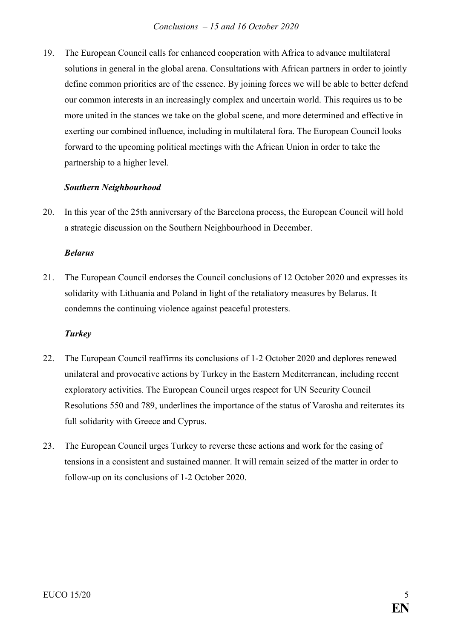19. The European Council calls for enhanced cooperation with Africa to advance multilateral solutions in general in the global arena. Consultations with African partners in order to jointly define common priorities are of the essence. By joining forces we will be able to better defend our common interests in an increasingly complex and uncertain world. This requires us to be more united in the stances we take on the global scene, and more determined and effective in exerting our combined influence, including in multilateral fora. The European Council looks forward to the upcoming political meetings with the African Union in order to take the partnership to a higher level.

## *Southern Neighbourhood*

20. In this year of the 25th anniversary of the Barcelona process, the European Council will hold a strategic discussion on the Southern Neighbourhood in December.

### *Belarus*

21. The European Council endorses the Council conclusions of 12 October 2020 and expresses its solidarity with Lithuania and Poland in light of the retaliatory measures by Belarus. It condemns the continuing violence against peaceful protesters.

## *Turkey*

- 22. The European Council reaffirms its conclusions of 1-2 October 2020 and deplores renewed unilateral and provocative actions by Turkey in the Eastern Mediterranean, including recent exploratory activities. The European Council urges respect for UN Security Council Resolutions 550 and 789, underlines the importance of the status of Varosha and reiterates its full solidarity with Greece and Cyprus.
- 23. The European Council urges Turkey to reverse these actions and work for the easing of tensions in a consistent and sustained manner. It will remain seized of the matter in order to follow-up on its conclusions of 1-2 October 2020.